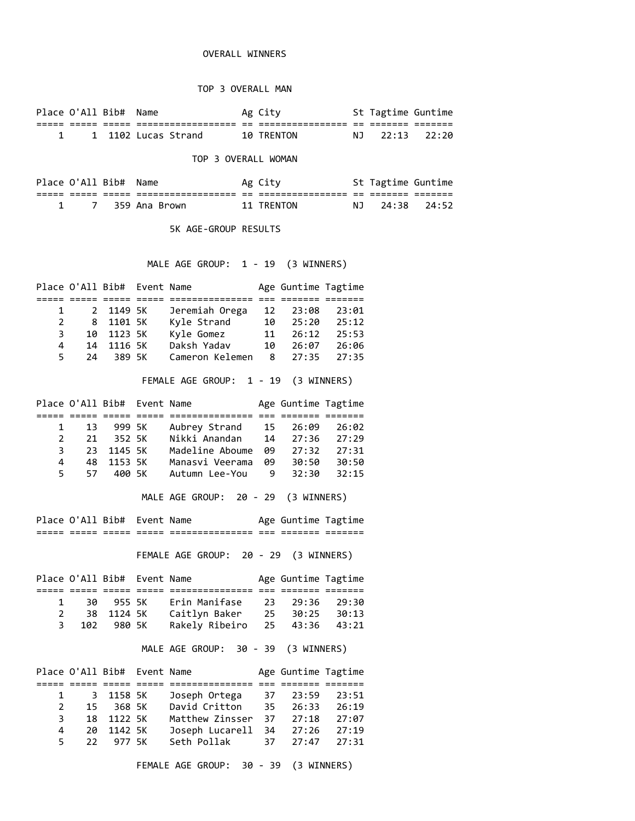## OVERALL WINNERS

## TOP 3 OVERALL MAN

Place O'All Bib# Name Ag City St Tagtime Guntime ===== ===== ===== ================== == ================ == ======= ======= 1 1 1102 Lucas Strand 10 TRENTON NJ 22:13 22:20

## TOP 3 OVERALL WOMAN

|  | Place O'All Bib# Name |                   | Ag City         |               | St Tagtime Guntime |  |
|--|-----------------------|-------------------|-----------------|---------------|--------------------|--|
|  |                       | _________________ | _______________ | $\sim$<br>$-$ | ____               |  |
|  |                       | 359 Ana Brown     | 11 TRFNTON      |               | NJ 24:38 24:52     |  |

5K AGE-GROUP RESULTS

MALE AGE GROUP: 1 - 19 (3 WINNERS)

|              | Place O'All Bib# Event Name |            |                 |    | Age Guntime Tagtime |       |
|--------------|-----------------------------|------------|-----------------|----|---------------------|-------|
|              |                             |            |                 |    |                     |       |
| $\mathbf{1}$ |                             | 2 1149 5K  | Jeremiah Orega  | 12 | 23:08               | 23:01 |
| 2            |                             | 8 1101 5K  | Kyle Strand     | 10 | 25:20               | 25:12 |
| 3            |                             | 10 1123 5K | Kyle Gomez      | 11 | 26:12               | 25:53 |
| 4            | 14                          | 1116 SK    | Daksh Yadav     | 10 | 26:07               | 26:06 |
| 5.           | 24                          | 389 5K     | Cameron Kelemen |    | 8 27:35             | 27:35 |

FEMALE AGE GROUP: 1 - 19 (3 WINNERS)

|               |    | Place O'All Bib# Event Name |                 |     | Age Guntime Tagtime |       |  |
|---------------|----|-----------------------------|-----------------|-----|---------------------|-------|--|
|               |    |                             |                 |     |                     |       |  |
| $\mathbf{1}$  | 13 | 999 5K                      | Aubrey Strand   |     | 15 26:09            | 26:02 |  |
| $\mathcal{P}$ |    | 21 352 5K                   | Nikki Anandan   |     | $14 \quad 27:36$    | 27:29 |  |
| 3             |    | 23 1145 5K                  | Madeline Aboume | 99  | 27:32               | 27:31 |  |
| 4             |    | 48 1153 5K                  | Manasvi Veerama | 09  | 30:50               | 30:50 |  |
| 5.            |    | 57 400 5K                   | Autumn Lee-You  | - 9 | 32:30               | 32:15 |  |
|               |    |                             |                 |     |                     |       |  |

MALE AGE GROUP: 20 - 29 (3 WINNERS)

| ------ | ----  | Place O'All Bib# Event Name |       | _______________ | ___ | Age Guntime Tagtime<br>_______ | _______ |  |
|--------|-------|-----------------------------|-------|-----------------|-----|--------------------------------|---------|--|
| -----  | ----- | -----                       | _____ | --------------- | --- | -------                        | _______ |  |

FEMALE AGE GROUP: 20 - 29 (3 WINNERS)

|   |            | Place O'All Bib# Event Name |                               | Age Guntime Tagtime |  |
|---|------------|-----------------------------|-------------------------------|---------------------|--|
|   |            |                             |                               |                     |  |
| 1 | 30 955 5K  |                             | Erin Manifase                 | 23 29:36 29:30      |  |
|   | 38 1124 5K |                             | Caitlyn Baker                 | 25 30:25 30:13      |  |
| 3 | 102 980 5K |                             | Rakely Ribeiro 25 43:36 43:21 |                     |  |

MALE AGE GROUP: 30 - 39 (3 WINNERS)

|                | Place O'All Bib# Event Name |                      |     | Age Guntime Tagtime |       |
|----------------|-----------------------------|----------------------|-----|---------------------|-------|
|                |                             |                      |     |                     |       |
|                | 1 3 1158 5K                 | Joseph Ortega        |     | 37 23:59            | 23:51 |
| 2              | 15 368 5K                   | David Critton        | 35. | 26:33               | 26:19 |
| 3              | 18 1122 5K                  | Matthew Zinsser      |     | $37 \quad 27:18$    | 27:07 |
| $\overline{4}$ | 20 1142 5K                  | Joseph Lucarell      |     | 34 27:26            | 27:19 |
|                | 22 977 5K                   | Seth Pollak 37 27:47 |     |                     | 27:31 |

FEMALE AGE GROUP: 30 - 39 (3 WINNERS)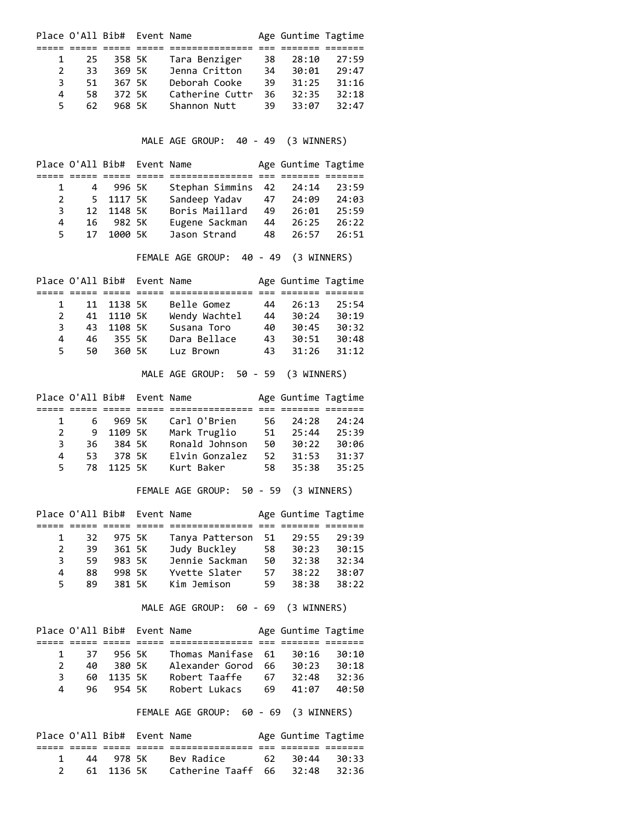|               | Place O'All Bib# Event Name |        |                 |     | Age Guntime Tagtime |       |
|---------------|-----------------------------|--------|-----------------|-----|---------------------|-------|
|               |                             |        |                 |     |                     |       |
| $\mathbf{1}$  | 25.                         | 358 5K | Tara Benziger   | 38  | 28:10               | 27:59 |
| $\mathcal{P}$ | 33.                         | 369 5K | Jenna Critton   | 34  | 30:01               | 29:47 |
| 3             | 51.                         | 367 5K | Deborah Cooke   | 39. | 31:25               | 31:16 |
| 4             | 58                          | 372 5K | Catherine Cuttr | 36  | 32:35               | 32:18 |
| 5.            | 62                          | 968 5K | Shannon Nutt    | 39  | 33:07               | 32:47 |
|               |                             |        |                 |     |                     |       |

MALE AGE GROUP: 40 - 49 (3 WINNERS)

|              |    | Place O'All Bib# Event Name |                          |    | Age Guntime Tagtime |       |
|--------------|----|-----------------------------|--------------------------|----|---------------------|-------|
|              |    |                             |                          |    |                     |       |
| $\mathbf{1}$ |    | 4 996 5K                    | Stephan Simmins 42 24:14 |    |                     | 23:59 |
| 2            |    | 5 1117 5K                   | Sandeep Yadav            | 47 | 24:09               | 24:03 |
| 3.           |    | 12 1148 5K                  | Boris Maillard           | 49 | 26:01               | 25:59 |
| 4            |    | 16 982 5K                   | Eugene Sackman           | 44 | 26:25               | 26:22 |
| 5.           | 17 | 1000 SK                     | Jason Strand             | 48 | 26:57               | 26:51 |

FEMALE AGE GROUP: 40 - 49 (3 WINNERS)

|               |     | Place O'All Bib# Event Name |               |     | Age Guntime Tagtime |       |
|---------------|-----|-----------------------------|---------------|-----|---------------------|-------|
|               |     |                             |               |     |                     |       |
| $\mathbf{1}$  |     | 11 1138 5K                  | Belle Gomez   | 44  | 26:13               | 25:54 |
| $\mathcal{P}$ |     | 41 1110 5K                  | Wendy Wachtel | 44  | 30:24               | 30:19 |
| З.            | 43  | 1108 5K                     | Susana Toro   | 40  | 30:45               | 30:32 |
| 4             | 46. | 355 SK                      | Dara Bellace  | 43  | 30:51               | 30:48 |
| 5.            | 50  | 360 SK                      | Luz Brown     | 43. | 31:26               | 31:12 |

MALE AGE GROUP: 50 - 59 (3 WINNERS)

|               | Place O'All Bib# Event Name |            |                |     | Age Guntime Tagtime |       |  |
|---------------|-----------------------------|------------|----------------|-----|---------------------|-------|--|
|               |                             |            |                |     |                     |       |  |
| $\mathbf{1}$  |                             | 6 969 5K   | Carl O'Brien   | 56. | 24:28               | 24:24 |  |
| $\mathcal{P}$ |                             | 9 1109 5K  | Mark Truglio   | 51  | 25:44               | 25:39 |  |
| 3.            | 36.                         | 384 SK     | Ronald Johnson | 50. | 30:22               | 30:06 |  |
| 4             | 53.                         | 378 5K     | Elvin Gonzalez | 52. | 31:53               | 31:37 |  |
| 5.            |                             | 78 1125 5K | Kurt Baker     |     | 58 35:38            | 35:25 |  |
|               |                             |            |                |     |                     |       |  |

FEMALE AGE GROUP: 50 - 59 (3 WINNERS)

|              | Place O'All Bib# Event Name |        |                 |     | Age Guntime Tagtime |       |  |
|--------------|-----------------------------|--------|-----------------|-----|---------------------|-------|--|
|              |                             |        |                 |     |                     |       |  |
| $\mathbf{1}$ | 32.                         | 975 5K | Tanya Patterson | 51  | 29:55               | 29:39 |  |
| 2            | 39                          | 361 5K | Judy Buckley    | 58  | 30:23               | 30:15 |  |
| З            | 59                          | 983 5K | Jennie Sackman  | 50  | 32:38               | 32:34 |  |
| 4            | 88                          | 998 5K | Yvette Slater   | 57  | 38:22               | 38:07 |  |
| 5.           | 89                          | 381 5K | Kim Jemison     | 59. | 38:38               | 38:22 |  |
|              |                             |        |                 |     |                     |       |  |

MALE AGE GROUP: 60 - 69 (3 WINNERS)

|               |     | Place O'All Bib# Event Name |                    |     | Age Guntime Tagtime |       |  |
|---------------|-----|-----------------------------|--------------------|-----|---------------------|-------|--|
|               |     |                             |                    |     |                     |       |  |
| $\mathbf{1}$  | -37 | 956 5K                      | Thomas Manifase 61 |     | 30:16               | 30:10 |  |
| $\mathcal{P}$ | 40  | 380 5K                      | Alexander Gorod    | 66. | 30:23               | 30:18 |  |
| 3             |     | 60 1135 5K                  | Robert Taaffe      | 67  | 32:48               | 32:36 |  |
| 4             |     | 96 954 5K                   | Robert Lukacs      | 69. | 41:07               | 40:50 |  |

FEMALE AGE GROUP: 60 - 69 (3 WINNERS)

| Place O'All Bib# Event Name |            |                          | Age Guntime Tagtime |         |
|-----------------------------|------------|--------------------------|---------------------|---------|
|                             |            |                          |                     |         |
|                             | 44 978. SK |                          |                     |         |
|                             | 61 1136 5K | Catherine Taaff 66 32:48 |                     | - 32:36 |